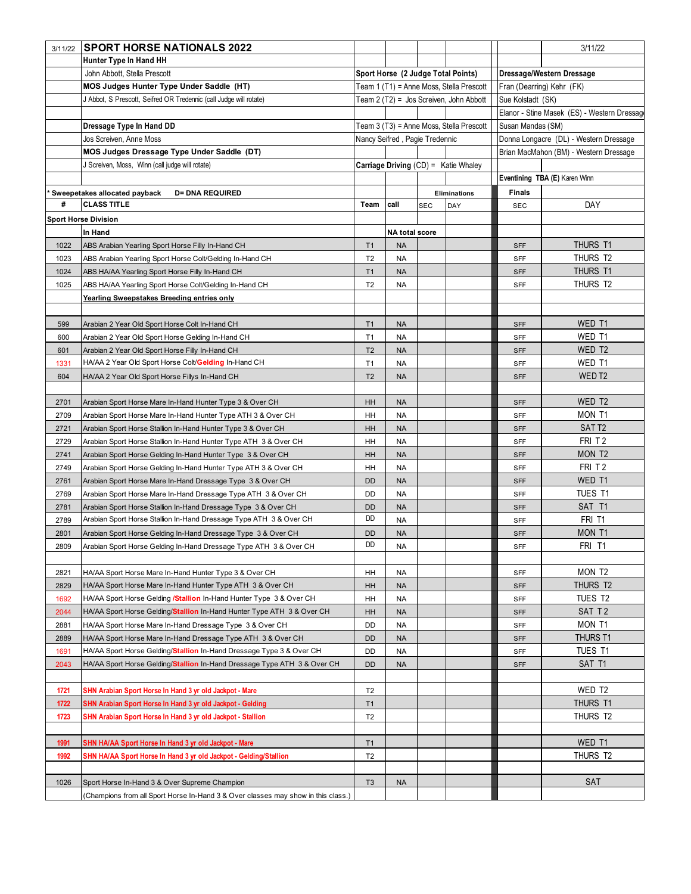| 3/11/22 | <b>SPORT HORSE NATIONALS 2022</b>                                                 |                                          |                                |     |                                             |                                        | 3/11/22                                     |  |
|---------|-----------------------------------------------------------------------------------|------------------------------------------|--------------------------------|-----|---------------------------------------------|----------------------------------------|---------------------------------------------|--|
|         | Hunter Type In Hand HH                                                            |                                          |                                |     |                                             |                                        |                                             |  |
|         | John Abbott, Stella Prescott                                                      |                                          |                                |     | Sport Horse (2 Judge Total Points)          |                                        | Dressage/Western Dressage                   |  |
|         | MOS Judges Hunter Type Under Saddle (HT)                                          | Team 1 (T1) = Anne Moss, Stella Prescott |                                |     |                                             | Fran (Dearring) Kehr (FK)              |                                             |  |
|         | J Abbot, S Prescott, Seifred OR Tredennic (call Judge will rotate)                |                                          |                                |     | Team 2 (T2) = Jos Screiven, John Abbott     | Sue Kolstadt (SK)                      |                                             |  |
|         |                                                                                   |                                          |                                |     |                                             |                                        | Elanor - Stine Masek (ES) - Western Dressag |  |
|         | Dressage Type In Hand DD                                                          |                                          |                                |     | Team 3 (T3) = Anne Moss, Stella Prescott    | Susan Mandas (SM)                      |                                             |  |
|         | Jos Screiven, Anne Moss                                                           |                                          | Nancy Seifred, Pagie Tredennic |     |                                             | Donna Longacre (DL) - Western Dressage |                                             |  |
|         | MOS Judges Dressage Type Under Saddle (DT)                                        |                                          |                                |     |                                             | Brian MacMahon (BM) - Western Dressage |                                             |  |
|         | J Screiven, Moss, Winn (call judge will rotate)                                   |                                          |                                |     | <b>Carriage Driving (CD) = Katie Whaley</b> |                                        |                                             |  |
|         |                                                                                   |                                          |                                |     |                                             |                                        | Eventining TBA (E) Karen Winn               |  |
|         | Sweepetakes allocated payback<br><b>D= DNA REQUIRED</b>                           |                                          |                                |     | <b>Eliminations</b>                         | <b>Finals</b>                          |                                             |  |
| #       | <b>CLASS TITLE</b>                                                                | Team                                     | call                           | SEC | DAY                                         | SEC                                    | DAY                                         |  |
|         | <b>Sport Horse Division</b>                                                       |                                          |                                |     |                                             |                                        |                                             |  |
|         | In Hand                                                                           |                                          | NA total score                 |     |                                             |                                        |                                             |  |
| 1022    | ABS Arabian Yearling Sport Horse Filly In-Hand CH                                 | T1                                       | <b>NA</b>                      |     |                                             | <b>SFF</b>                             | THURS T1                                    |  |
| 1023    | ABS Arabian Yearling Sport Horse Colt/Gelding In-Hand CH                          | T <sub>2</sub>                           | <b>NA</b>                      |     |                                             | SFF                                    | THURS T2                                    |  |
| 1024    | ABS HA/AA Yearling Sport Horse Filly In-Hand CH                                   | T <sub>1</sub>                           | <b>NA</b>                      |     |                                             | <b>SFF</b>                             | THURS T1                                    |  |
| 1025    | ABS HA/AA Yearling Sport Horse Colt/Gelding In-Hand CH                            | T <sub>2</sub>                           | <b>NA</b>                      |     |                                             | SFF                                    | THURS T2                                    |  |
|         | <u>Yearling Sweepstakes Breeding entries only</u>                                 |                                          |                                |     |                                             |                                        |                                             |  |
|         |                                                                                   |                                          |                                |     |                                             |                                        |                                             |  |
| 599     | Arabian 2 Year Old Sport Horse Colt In-Hand CH                                    | T <sub>1</sub>                           | <b>NA</b>                      |     |                                             | <b>SFF</b>                             | WED T1                                      |  |
| 600     | Arabian 2 Year Old Sport Horse Gelding In-Hand CH                                 | T1                                       | <b>NA</b>                      |     |                                             | SFF                                    | WED T1                                      |  |
| 601     | Arabian 2 Year Old Sport Horse Filly In-Hand CH                                   | T <sub>2</sub>                           | <b>NA</b>                      |     |                                             | <b>SFF</b>                             | WED T2                                      |  |
| 1331    | HA/AA 2 Year Old Sport Horse Colt/Gelding In-Hand CH                              | T <sub>1</sub>                           | <b>NA</b>                      |     |                                             | SFF                                    | WED T1                                      |  |
| 604     | HA/AA 2 Year Old Sport Horse Fillys In-Hand CH                                    | T <sub>2</sub>                           | <b>NA</b>                      |     |                                             | <b>SFF</b>                             | WED T <sub>2</sub>                          |  |
|         |                                                                                   |                                          |                                |     |                                             |                                        |                                             |  |
| 2701    | Arabian Sport Horse Mare In-Hand Hunter Type 3 & Over CH                          | HH                                       | <b>NA</b>                      |     |                                             | <b>SFF</b>                             | WED T2                                      |  |
| 2709    | Arabian Sport Horse Mare In-Hand Hunter Type ATH 3 & Over CH                      | HH                                       | <b>NA</b>                      |     |                                             | SFF                                    | MON T1                                      |  |
| 2721    | Arabian Sport Horse Stallion In-Hand Hunter Type 3 & Over CH                      | HH                                       | <b>NA</b>                      |     |                                             | <b>SFF</b>                             | SAT T <sub>2</sub>                          |  |
| 2729    | Arabian Sport Horse Stallion In-Hand Hunter Type ATH 3 & Over CH                  | HH                                       | <b>NA</b>                      |     |                                             | <b>SFF</b>                             | FRI T <sub>2</sub>                          |  |
| 2741    | Arabian Sport Horse Gelding In-Hand Hunter Type 3 & Over CH                       | HH                                       | <b>NA</b>                      |     |                                             | <b>SFF</b>                             | MON T <sub>2</sub>                          |  |
| 2749    | Arabian Sport Horse Gelding In-Hand Hunter Type ATH 3 & Over CH                   | HH                                       | <b>NA</b>                      |     |                                             | SFF                                    | FRI T <sub>2</sub>                          |  |
| 2761    | Arabian Sport Horse Mare In-Hand Dressage Type 3 & Over CH                        | DD                                       | <b>NA</b>                      |     |                                             | <b>SFF</b>                             | WED T1                                      |  |
| 2769    | Arabian Sport Horse Mare In-Hand Dressage Type ATH 3 & Over CH                    | DD                                       | <b>NA</b>                      |     |                                             | SFF                                    | TUES T1                                     |  |
| 2781    | Arabian Sport Horse Stallion In-Hand Dressage Type 3 & Over CH                    | <b>DD</b>                                | <b>NA</b>                      |     |                                             | <b>SFF</b>                             | SAT T1                                      |  |
| 2789    | Arabian Sport Horse Stallion In-Hand Dressage Type ATH 3 & Over CH                | DD                                       | <b>NA</b>                      |     |                                             | SFF                                    | FRI T1                                      |  |
| 2801    | Arabian Sport Horse Gelding In-Hand Dressage Type 3 & Over CH                     | DD                                       | <b>NA</b>                      |     |                                             | <b>SFF</b>                             | MON T1                                      |  |
| 2809    | Arabian Sport Horse Gelding In-Hand Dressage Type ATH 3 & Over CH                 | DD                                       | <b>NA</b>                      |     |                                             | <b>SFF</b>                             | FRI T1                                      |  |
|         |                                                                                   |                                          |                                |     |                                             |                                        |                                             |  |
| 2821    | HA/AA Sport Horse Mare In-Hand Hunter Type 3 & Over CH                            | HH                                       | <b>NA</b>                      |     |                                             | SFF                                    | MON T <sub>2</sub>                          |  |
| 2829    | HA/AA Sport Horse Mare In-Hand Hunter Type ATH 3 & Over CH                        | HH                                       | <b>NA</b>                      |     |                                             | <b>SFF</b>                             | THURS T2                                    |  |
| 1692    | HA/AA Sport Horse Gelding /Stallion In-Hand Hunter Type 3 & Over CH               | HH                                       | <b>NA</b>                      |     |                                             | <b>SFF</b>                             | TUES T2                                     |  |
| 2044    | HA/AA Sport Horse Gelding/Stallion In-Hand Hunter Type ATH 3 & Over CH            | HH                                       | <b>NA</b>                      |     |                                             | <b>SFF</b>                             | SAT T2                                      |  |
| 2881    | HA/AA Sport Horse Mare In-Hand Dressage Type 3 & Over CH                          | DD                                       | <b>NA</b>                      |     |                                             | SFF                                    | MON T1                                      |  |
| 2889    | HA/AA Sport Horse Mare In-Hand Dressage Type ATH 3 & Over CH                      | <b>DD</b>                                | <b>NA</b>                      |     |                                             | <b>SFF</b>                             | <b>THURS T1</b>                             |  |
| 1691    | HA/AA Sport Horse Gelding/Stallion In-Hand Dressage Type 3 & Over CH              | DD                                       | <b>NA</b>                      |     |                                             | SFF                                    | TUES T1                                     |  |
| 2043    | HA/AA Sport Horse Gelding/Stallion In-Hand Dressage Type ATH 3 & Over CH          | DD                                       | <b>NA</b>                      |     |                                             | <b>SFF</b>                             | SAT T1                                      |  |
|         |                                                                                   |                                          |                                |     |                                             |                                        |                                             |  |
| 1721    | SHN Arabian Sport Horse In Hand 3 yr old Jackpot - Mare                           | T <sub>2</sub>                           |                                |     |                                             |                                        | WED T2                                      |  |
| 1722    | SHN Arabian Sport Horse In Hand 3 yr old Jackpot - Gelding                        | T1                                       |                                |     |                                             |                                        | THURS T1                                    |  |
| 1723    | SHN Arabian Sport Horse In Hand 3 yr old Jackpot - Stallion                       | T <sub>2</sub>                           |                                |     |                                             |                                        | THURS T2                                    |  |
|         |                                                                                   |                                          |                                |     |                                             |                                        |                                             |  |
| 1991    | SHN HA/AA Sport Horse In Hand 3 yr old Jackpot - Mare                             | T1                                       |                                |     |                                             |                                        | WED T1                                      |  |
| 1992    | SHN HA/AA Sport Horse In Hand 3 yr old Jackpot - Gelding/Stallion                 | T <sub>2</sub>                           |                                |     |                                             |                                        | THURS T2                                    |  |
|         |                                                                                   |                                          |                                |     |                                             |                                        | SAT                                         |  |
| 1026    | Sport Horse In-Hand 3 & Over Supreme Champion                                     | T <sub>3</sub>                           | <b>NA</b>                      |     |                                             |                                        |                                             |  |
|         | (Champions from all Sport Horse In-Hand 3 & Over classes may show in this class.) |                                          |                                |     |                                             |                                        |                                             |  |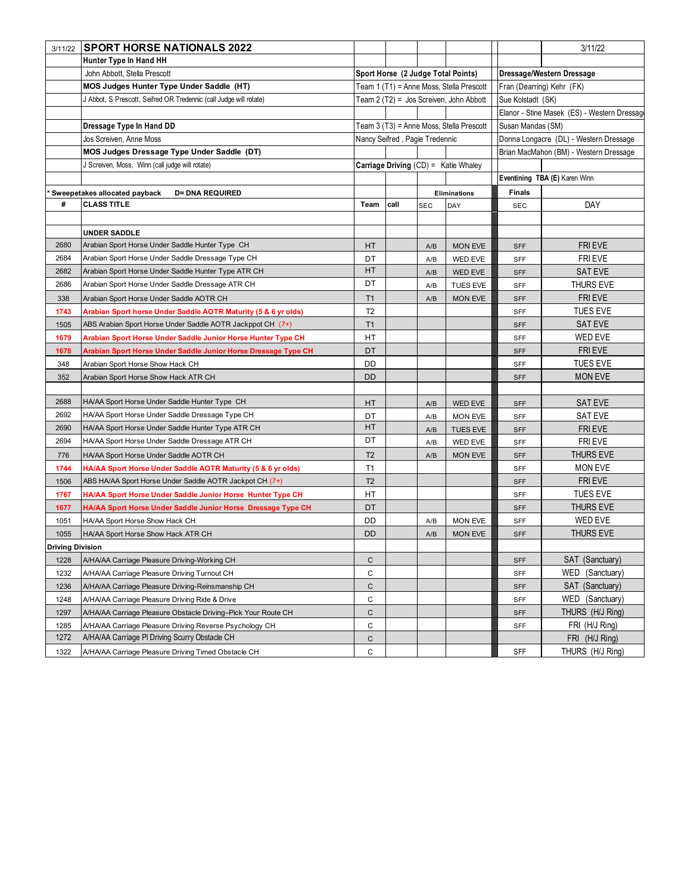| 3/11/22                 | <b>SPORT HORSE NATIONALS 2022</b>                                  |                                          |                                         |            |                                      |                                        | 3/11/22                                     |  |
|-------------------------|--------------------------------------------------------------------|------------------------------------------|-----------------------------------------|------------|--------------------------------------|----------------------------------------|---------------------------------------------|--|
|                         | Hunter Type In Hand HH                                             |                                          |                                         |            |                                      |                                        |                                             |  |
|                         | John Abbott, Stella Prescott                                       |                                          |                                         |            | Sport Horse (2 Judge Total Points)   | Dressage/Western Dressage              |                                             |  |
|                         | MOS Judges Hunter Type Under Saddle (HT)                           | Team 1 (T1) = Anne Moss, Stella Prescott |                                         |            |                                      |                                        | Fran (Dearring) Kehr (FK)                   |  |
|                         | J Abbot, S Prescott, Seifred OR Tredennic (call Judge will rotate) |                                          | Team 2 (T2) = Jos Screiven, John Abbott |            |                                      | Sue Kolstadt (SK)                      |                                             |  |
|                         |                                                                    |                                          |                                         |            |                                      |                                        | Elanor - Stine Masek (ES) - Western Dressag |  |
|                         | Dressage Type In Hand DD                                           | Team 3 (T3) = Anne Moss, Stella Prescott |                                         |            |                                      | Susan Mandas (SM)                      |                                             |  |
|                         | Jos Screiven, Anne Moss                                            |                                          | Nancy Seifred, Pagie Tredennic          |            |                                      | Donna Longacre (DL) - Western Dressage |                                             |  |
|                         | MOS Judges Dressage Type Under Saddle (DT)                         |                                          |                                         |            |                                      |                                        | Brian MacMahon (BM) - Western Dressage      |  |
|                         | J Screiven, Moss, Winn (call judge will rotate)                    |                                          |                                         |            | Carriage Driving (CD) = Katie Whaley |                                        |                                             |  |
|                         |                                                                    |                                          |                                         |            |                                      |                                        | Eventining TBA (E) Karen Winn               |  |
|                         | Sweepetakes allocated payback<br><b>D= DNA REQUIRED</b>            | Eliminations                             |                                         |            | <b>Finals</b>                        |                                        |                                             |  |
| #                       | <b>CLASS TITLE</b>                                                 | Team                                     | call                                    | <b>SEC</b> | DAY                                  | <b>SEC</b>                             | DAY                                         |  |
|                         |                                                                    |                                          |                                         |            |                                      |                                        |                                             |  |
|                         | <b>UNDER SADDLE</b>                                                |                                          |                                         |            |                                      |                                        |                                             |  |
| 2680                    | Arabian Sport Horse Under Saddle Hunter Type CH                    | HT                                       |                                         | A/B        | <b>MON EVE</b>                       | <b>SFF</b>                             | <b>FRIEVE</b>                               |  |
| 2684                    | Arabian Sport Horse Under Saddle Dressage Type CH                  | DT                                       |                                         | A/B        | WED EVE                              | SFF                                    | FRI EVE                                     |  |
| 2682                    | Arabian Sport Horse Under Saddle Hunter Type ATR CH                | HT                                       |                                         | A/B        | WED EVE                              | <b>SFF</b>                             | <b>SAT EVE</b>                              |  |
| 2686                    | Arabian Sport Horse Under Saddle Dressage ATR CH                   | DT                                       |                                         | A/B        | <b>TUES EVE</b>                      | SFF                                    | THURS EVE                                   |  |
| 338                     | Arabian Sport Horse Under Saddle AOTR CH                           | T1                                       |                                         | A/B        | <b>MON EVE</b>                       | <b>SFF</b>                             | FRI EVE                                     |  |
| 1743                    | Arabian Sport horse Under Saddle AOTR Maturity (5 & 6 yr olds)     | T <sub>2</sub>                           |                                         |            |                                      | SFF                                    | <b>TUES EVE</b>                             |  |
| 1505                    | ABS Arabian Sport Horse Under Saddle AOTR Jackppot CH (7+)         | T <sub>1</sub>                           |                                         |            |                                      | <b>SFF</b>                             | <b>SAT EVE</b>                              |  |
| 1679                    | Arabian Sport Horse Under Saddle Junior Horse Hunter Type CH       | HT                                       |                                         |            |                                      | <b>SFF</b>                             | WED EVE                                     |  |
| 1678                    | Arabian Sport Horse Under Saddle Junior Horse Dressage Type CH     | DT                                       |                                         |            |                                      | <b>SFF</b>                             | <b>FRIEVE</b>                               |  |
| 348                     | Arabian Sport Horse Show Hack CH                                   | DD                                       |                                         |            |                                      | SFF                                    | <b>TUES EVE</b>                             |  |
| 352                     | Arabian Sport Horse Show Hack ATR CH                               | DD                                       |                                         |            |                                      | <b>SFF</b>                             | <b>MON EVE</b>                              |  |
|                         |                                                                    |                                          |                                         |            |                                      |                                        |                                             |  |
| 2688                    | HA/AA Sport Horse Under Saddle Hunter Type CH                      | HT                                       |                                         | A/B        | WED EVE                              | <b>SFF</b>                             | <b>SAT EVE</b>                              |  |
| 2692                    | HA/AA Sport Horse Under Saddle Dressage Type CH                    | DT                                       |                                         | A/B        | <b>MON EVE</b>                       | SFF                                    | <b>SAT EVE</b>                              |  |
| 2690                    | HA/AA Sport Horse Under Saddle Hunter Type ATR CH                  | HT                                       |                                         | A/B        | TUES EVE                             | <b>SFF</b>                             | FRI EVE                                     |  |
| 2694                    | HA/AA Sport Horse Under Saddle Dressage ATR CH                     | DT                                       |                                         | A/B        | WED EVE                              | SFF                                    | FRI EVE                                     |  |
| 776                     | HA/AA Sport Horse Under Saddle AOTR CH                             | T <sub>2</sub>                           |                                         | A/B        | <b>MON EVE</b>                       | SFF                                    | <b>THURS EVE</b>                            |  |
| 1744                    | HA/AA Sport Horse Under Saddle AOTR Maturity (5 & 6 yr olds)       | T1                                       |                                         |            |                                      | SFF                                    | MON EVE                                     |  |
| 1506                    | ABS HA/AA Sport Horse Under Saddle AOTR Jackpot CH (7+)            | T <sub>2</sub>                           |                                         |            |                                      | <b>SFF</b>                             | <b>FRIEVE</b>                               |  |
| 1767                    | HA/AA Sport Horse Under Saddle Junior Horse Hunter Type CH         | НT                                       |                                         |            |                                      | SFF                                    | <b>TUES EVE</b>                             |  |
| 1677                    | HA/AA Sport Horse Under Saddle Junior Horse Dressage Type CH       | DT                                       |                                         |            |                                      | <b>SFF</b>                             | <b>THURS EVE</b>                            |  |
| 1051                    | HA/AA Sport Horse Show Hack CH                                     | DD                                       |                                         | A/B        | <b>MON EVE</b>                       | SFF                                    | WED EVE                                     |  |
| 1055                    | HA/AA Sport Horse Show Hack ATR CH                                 | DD                                       |                                         | A/B        | <b>MON EVE</b>                       | <b>SFF</b>                             | THURS EVE                                   |  |
| <b>Driving Division</b> |                                                                    |                                          |                                         |            |                                      |                                        |                                             |  |
| 1228                    | A/HA/AA Carriage Pleasure Driving-Working CH                       | $\mathsf{C}$                             |                                         |            |                                      | <b>SFF</b>                             | SAT (Sanctuary)                             |  |
| 1232                    | A/HA/AA Carriage Pleasure Driving Turnout CH                       | C                                        |                                         |            |                                      | SFF                                    | WED (Sanctuary)                             |  |
| 1236                    | A/HA/AA Carriage Pleasure Driving-Reinsmanship CH                  | $\mathsf C$                              |                                         |            |                                      | <b>SFF</b>                             | SAT (Sanctuary)                             |  |
| 1248                    | A/HA/AA Carriage Pleasure Driving Ride & Drive                     | C                                        |                                         |            |                                      | SFF                                    | WED (Sanctuary)                             |  |
| 1297                    | A/HA/AA Carriage Pleasure Obstacle Driving-Pick Your Route CH      | $\mathsf{C}$                             |                                         |            |                                      | <b>SFF</b>                             | THURS (H/J Ring)                            |  |
| 1285                    | A/HA/AA Carriage Pleasure Driving Reverse Psychology CH            | $\mathsf C$                              |                                         |            |                                      | SFF                                    | FRI (H/J Ring)                              |  |
| 1272                    | A/HA/AA Carriage PI Driving Scurry Obstacle CH                     | $\mathsf C$                              |                                         |            |                                      |                                        | FRI (H/J Ring)                              |  |
| 1322                    | A/HA/AA Carriage Pleasure Driving Timed Obstacle CH                | С                                        |                                         |            |                                      | SFF                                    | THURS (H/J Ring)                            |  |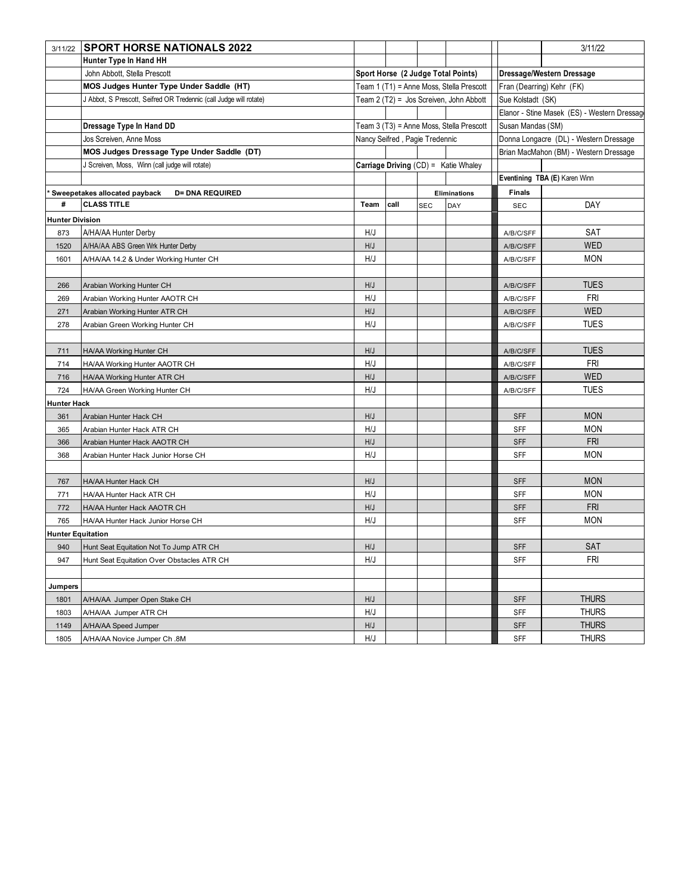| 3/11/22                  | <b>SPORT HORSE NATIONALS 2022</b>                                  |                                          |      |            |                                          |                           | 3/11/22                                     |
|--------------------------|--------------------------------------------------------------------|------------------------------------------|------|------------|------------------------------------------|---------------------------|---------------------------------------------|
|                          | Hunter Type In Hand HH                                             |                                          |      |            |                                          |                           |                                             |
|                          | John Abbott, Stella Prescott                                       | Sport Horse (2 Judge Total Points)       |      |            |                                          | Dressage/Western Dressage |                                             |
|                          | MOS Judges Hunter Type Under Saddle (HT)                           | Team 1 (T1) = Anne Moss, Stella Prescott |      |            |                                          |                           | Fran (Dearring) Kehr (FK)                   |
|                          | J Abbot, S Prescott, Seifred OR Tredennic (call Judge will rotate) | Team 2 (T2) = Jos Screiven, John Abbott  |      |            |                                          | Sue Kolstadt (SK)         |                                             |
|                          |                                                                    |                                          |      |            |                                          |                           | Elanor - Stine Masek (ES) - Western Dressag |
|                          | Dressage Type In Hand DD                                           |                                          |      |            | Team 3 (T3) = Anne Moss, Stella Prescott | Susan Mandas (SM)         |                                             |
|                          | Jos Screiven, Anne Moss                                            | Nancy Seifred, Pagie Tredennic           |      |            |                                          |                           | Donna Longacre (DL) - Western Dressage      |
|                          | MOS Judges Dressage Type Under Saddle (DT)                         |                                          |      |            |                                          |                           | Brian MacMahon (BM) - Western Dressage      |
|                          | J Screiven, Moss, Winn (call judge will rotate)                    |                                          |      |            | Carriage Driving (CD) = Katie Whaley     |                           |                                             |
|                          |                                                                    |                                          |      |            |                                          |                           | Eventining TBA (E) Karen Winn               |
|                          | Sweepetakes allocated payback<br><b>D= DNA REQUIRED</b>            | Eliminations                             |      |            |                                          | <b>Finals</b>             |                                             |
| #                        | <b>CLASS TITLE</b>                                                 | Team                                     | call | <b>SEC</b> | DAY                                      | <b>SEC</b>                | DAY                                         |
| <b>Hunter Division</b>   |                                                                    |                                          |      |            |                                          |                           |                                             |
| 873                      | A/HA/AA Hunter Derby                                               | H/J                                      |      |            |                                          | A/B/C/SFF                 | SAT                                         |
| 1520                     | A/HA/AA ABS Green Wrk Hunter Derby                                 | H/J                                      |      |            |                                          | A/B/C/SFF                 | <b>WED</b>                                  |
| 1601                     | A/HA/AA 14.2 & Under Working Hunter CH                             | H/J                                      |      |            |                                          | A/B/C/SFF                 | <b>MON</b>                                  |
|                          |                                                                    |                                          |      |            |                                          |                           |                                             |
| 266                      | Arabian Working Hunter CH                                          | H/J                                      |      |            |                                          | A/B/C/SFF                 | <b>TUES</b>                                 |
| 269                      | Arabian Working Hunter AAOTR CH                                    | H/J                                      |      |            |                                          | A/B/C/SFF                 | FRI                                         |
| 271                      | Arabian Working Hunter ATR CH                                      | H/J                                      |      |            |                                          | A/B/C/SFF                 | <b>WED</b>                                  |
| 278                      | Arabian Green Working Hunter CH                                    | H/J                                      |      |            |                                          | A/B/C/SFF                 | <b>TUES</b>                                 |
|                          |                                                                    |                                          |      |            |                                          |                           |                                             |
| 711                      | HA/AA Working Hunter CH                                            | H/J                                      |      |            |                                          | A/B/C/SFF                 | <b>TUES</b>                                 |
| 714                      | HA/AA Working Hunter AAOTR CH                                      | H/J                                      |      |            |                                          | A/B/C/SFF                 | <b>FRI</b>                                  |
| 716                      | HA/AA Working Hunter ATR CH                                        | H/J                                      |      |            |                                          | A/B/C/SFF                 | <b>WED</b>                                  |
| 724                      | HA/AA Green Working Hunter CH                                      | H/J                                      |      |            |                                          | A/B/C/SFF                 | <b>TUES</b>                                 |
| Hunter Hack              |                                                                    |                                          |      |            |                                          |                           |                                             |
| 361                      | Arabian Hunter Hack CH                                             | H/J                                      |      |            |                                          | <b>SFF</b>                | <b>MON</b>                                  |
| 365                      | Arabian Hunter Hack ATR CH                                         | H/J                                      |      |            |                                          | SFF                       | <b>MON</b>                                  |
| 366                      | Arabian Hunter Hack AAOTR CH                                       | H/J                                      |      |            |                                          | <b>SFF</b>                | <b>FRI</b>                                  |
| 368                      | Arabian Hunter Hack Junior Horse CH                                | H/J                                      |      |            |                                          | SFF                       | <b>MON</b>                                  |
|                          |                                                                    |                                          |      |            |                                          |                           |                                             |
| 767                      | HA/AA Hunter Hack CH                                               | H/J                                      |      |            |                                          | <b>SFF</b>                | <b>MON</b>                                  |
| 771                      | HA/AA Hunter Hack ATR CH                                           | H/J                                      |      |            |                                          | SFF                       | <b>MON</b>                                  |
| 772                      | HA/AA Hunter Hack AAOTR CH                                         | H/J                                      |      |            |                                          | <b>SFF</b>                | <b>FRI</b>                                  |
| 765                      | HA/AA Hunter Hack Junior Horse CH                                  | H/J                                      |      |            |                                          | SFF                       | <b>MON</b>                                  |
| <b>Hunter Equitation</b> |                                                                    |                                          |      |            |                                          |                           |                                             |
|                          | 940 Hunt Seat Equitation Not To Jump ATR CH                        | $\mathsf{H}/\mathsf{J}$                  |      |            |                                          | SFF                       | SAT                                         |
| 947                      | Hunt Seat Equitation Over Obstacles ATR CH                         | H/J                                      |      |            |                                          | SFF                       | <b>FRI</b>                                  |
|                          |                                                                    |                                          |      |            |                                          |                           |                                             |
| Jumpers                  |                                                                    |                                          |      |            |                                          |                           |                                             |
| 1801                     | A/HA/AA Jumper Open Stake CH                                       | H/J                                      |      |            |                                          | <b>SFF</b>                | <b>THURS</b>                                |
| 1803                     | A/HA/AA Jumper ATR CH                                              | H/J                                      |      |            |                                          | SFF                       | <b>THURS</b>                                |
| 1149                     | A/HA/AA Speed Jumper                                               | H/J                                      |      |            |                                          | <b>SFF</b>                | <b>THURS</b>                                |
| 1805                     | A/HA/AA Novice Jumper Ch.8M                                        | H/J                                      |      |            |                                          | SFF                       | <b>THURS</b>                                |